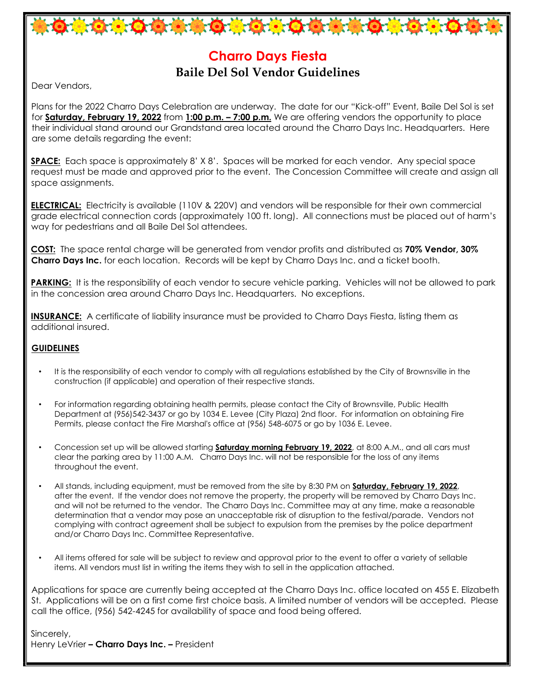## **Charro Days Fiesta Baile Del Sol Vendor Guidelines**

\*\*\*\*\*\*\*\*\*\*\*\*\*\*\*\*\*\*\*\*\*\*\*\*

Dear Vendors,

Plans for the 2022 Charro Days Celebration are underway. The date for our "Kick-off" Event, Baile Del Sol is set for **Saturday, February 19, 2022** from **1:00 p.m. – 7:00 p.m.** We are offering vendors the opportunity to place their individual stand around our Grandstand area located around the Charro Days Inc. Headquarters. Here are some details regarding the event:

**SPACE:** Each space is approximately 8' X 8'. Spaces will be marked for each vendor. Any special space request must be made and approved prior to the event. The Concession Committee will create and assign all space assignments.

**ELECTRICAL:** Electricity is available (110V & 220V) and vendors will be responsible for their own commercial grade electrical connection cords (approximately 100 ft. long). All connections must be placed out of harm's way for pedestrians and all Baile Del Sol attendees.

**COST:** The space rental charge will be generated from vendor profits and distributed as **70% Vendor, 30% Charro Days Inc.** for each location. Records will be kept by Charro Days Inc. and a ticket booth.

**PARKING:** It is the responsibility of each vendor to secure vehicle parking. Vehicles will not be allowed to park in the concession area around Charro Days Inc. Headquarters. No exceptions.

**INSURANCE:** A certificate of liability insurance must be provided to Charro Days Fiesta, listing them as additional insured.

#### **GUIDELINES**

- It is the responsibility of each vendor to comply with all regulations established by the City of Brownsville in the construction (if applicable) and operation of their respective stands.
- For information regarding obtaining health permits, please contact the City of Brownsville, Public Health Department at (956)542-3437 or go by 1034 E. Levee (City Plaza) 2nd floor. For information on obtaining Fire Permits, please contact the Fire Marshal's office at (956) 548-6075 or go by 1036 E. Levee.
- Concession set up will be allowed starting **Saturday morning February 19, 2022**, at 8:00 A.M., and all cars must clear the parking area by 11:00 A.M. Charro Days Inc. will not be responsible for the loss of any items throughout the event.
- All stands, including equipment, must be removed from the site by 8:30 PM on **Saturday, February 19, 2022**, after the event. If the vendor does not remove the property, the property will be removed by Charro Days Inc. and will not be returned to the vendor. The Charro Days Inc. Committee may at any time, make a reasonable determination that a vendor may pose an unacceptable risk of disruption to the festival/parade. Vendors not complying with contract agreement shall be subject to expulsion from the premises by the police department and/or Charro Days Inc. Committee Representative.
- All items offered for sale will be subject to review and approval prior to the event to offer a variety of sellable items. All vendors must list in writing the items they wish to sell in the application attached.

Applications for space are currently being accepted at the Charro Days Inc. office located on 455 E. Elizabeth St. Applications will be on a first come first choice basis. A limited number of vendors will be accepted. Please call the office, (956) 542-4245 for availability of space and food being offered.

Sincerely, Henry LeVrier **– Charro Days Inc. –** President